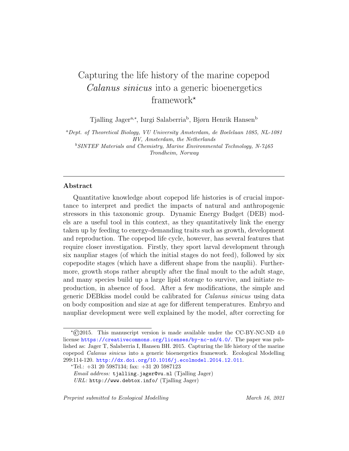# Capturing the life history of the marine copepod Calanus sinicus into a generic bioenergetics framework $*$

Tjalling Jager<sup>a,∗</sup>, Iurgi Salaberria<sup>b</sup>, Bjørn Henrik Hansen<sup>b</sup>

<sup>a</sup>Dept. of Theoretical Biology, VU University Amsterdam, de Boelelaan 1085, NL-1081 HV, Amsterdam, the Netherlands  $b$ SINTEF Materials and Chemistry, Marine Environmental Technology, N-7465 Trondheim, Norway

# Abstract

Quantitative knowledge about copepod life histories is of crucial importance to interpret and predict the impacts of natural and anthropogenic stressors in this taxonomic group. Dynamic Energy Budget (DEB) models are a useful tool in this context, as they quantitatively link the energy taken up by feeding to energy-demanding traits such as growth, development and reproduction. The copepod life cycle, however, has several features that require closer investigation. Firstly, they sport larval development through six naupliar stages (of which the initial stages do not feed), followed by six copepodite stages (which have a different shape from the nauplii). Furthermore, growth stops rather abruptly after the final moult to the adult stage, and many species build up a large lipid storage to survive, and initiate reproduction, in absence of food. After a few modifications, the simple and generic DEBkiss model could be calibrated for Calanus sinicus using data on body composition and size at age for different temperatures. Embryo and naupliar development were well explained by the model, after correcting for

 $*$ ©2015. This manuscript version is made available under the CC-BY-NC-ND 4.0 license <https://creativecommons.org/licenses/by-nc-nd/4.0/>. The paper was published as: Jager T, Salaberria I, Hansen BH. 2015. Capturing the life history of the marine copepod Calanus sinicus into a generic bioenergetics framework. Ecological Modelling 299:114-120. <http://dx.doi.org/10.1016/j.ecolmodel.2014.12.011>.

<sup>∗</sup>Tel.: +31 20 5987134; fax: +31 20 5987123

Email address: tjalling.jager@vu.nl (Tjalling Jager)

 $URL: \text{http://www.debtox.info/ (Tjalling Jager)}$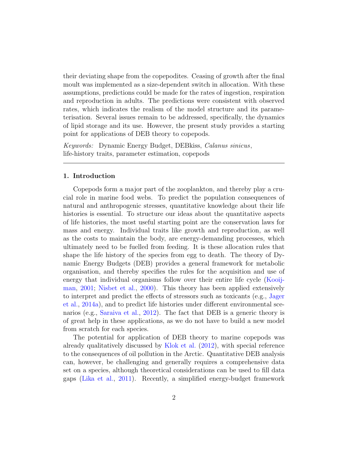their deviating shape from the copepodites. Ceasing of growth after the final moult was implemented as a size-dependent switch in allocation. With these assumptions, predictions could be made for the rates of ingestion, respiration and reproduction in adults. The predictions were consistent with observed rates, which indicates the realism of the model structure and its parameterisation. Several issues remain to be addressed, specifically, the dynamics of lipid storage and its use. However, the present study provides a starting point for applications of DEB theory to copepods.

Keywords: Dynamic Energy Budget, DEBkiss, Calanus sinicus, life-history traits, parameter estimation, copepods

### 1. Introduction

Copepods form a major part of the zooplankton, and thereby play a crucial role in marine food webs. To predict the population consequences of natural and anthropogenic stresses, quantitative knowledge about their life histories is essential. To structure our ideas about the quantitative aspects of life histories, the most useful starting point are the conservation laws for mass and energy. Individual traits like growth and reproduction, as well as the costs to maintain the body, are energy-demanding processes, which ultimately need to be fuelled from feeding. It is these allocation rules that shape the life history of the species from egg to death. The theory of Dynamic Energy Budgets (DEB) provides a general framework for metabolic organisation, and thereby specifies the rules for the acquisition and use of energy that individual organisms follow over their entire life cycle [\(Kooij](#page-18-0)[man,](#page-18-0) [2001;](#page-18-0) [Nisbet et al.,](#page-19-0) [2000\)](#page-19-0). This theory has been applied extensively to interpret and predict the effects of stressors such as toxicants (e.g., [Jager](#page-17-0) [et al.,](#page-17-0) [2014a\)](#page-17-0), and to predict life histories under different environmental scenarios (e.g., [Saraiva et al.,](#page-19-1) [2012\)](#page-19-1). The fact that DEB is a generic theory is of great help in these applications, as we do not have to build a new model from scratch for each species.

The potential for application of DEB theory to marine copepods was already qualitatively discussed by [Klok et al.](#page-18-1) [\(2012\)](#page-18-1), with special reference to the consequences of oil pollution in the Arctic. Quantitative DEB analysis can, however, be challenging and generally requires a comprehensive data set on a species, although theoretical considerations can be used to fill data gaps [\(Lika et al.,](#page-18-2) [2011\)](#page-18-2). Recently, a simplified energy-budget framework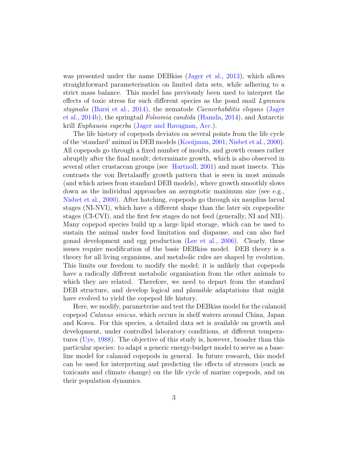was presented under the name DEBkiss [\(Jager et al.,](#page-17-1) [2013\)](#page-17-1), which allows straightforward parameterisation on limited data sets, while adhering to a strict mass balance. This model has previously been used to interpret the effects of toxic stress for such different species as the pond snail Lymnaea stagnalis [\(Barsi et al.,](#page-17-2) [2014\)](#page-17-2), the nematode Caenorhabditis elegans [\(Jager](#page-17-3) [et al.,](#page-17-3) [2014b\)](#page-17-3), the springtail Folsomia candida [\(Hamda,](#page-17-4) [2014\)](#page-17-4), and Antarctic krill Euphausia superba [\(Jager and Ravagnan,](#page-18-3) [Acc.\)](#page-18-3).

The life history of copepods deviates on several points from the life cycle of the 'standard' animal in DEB models [\(Kooijman,](#page-18-0) [2001;](#page-18-0) [Nisbet et al.,](#page-19-0) [2000\)](#page-19-0). All copepods go through a fixed number of moults, and growth ceases rather abruptly after the final moult; determinate growth, which is also observed in several other crustacean groups (see [Hartnoll,](#page-17-5) [2001\)](#page-17-5) and most insects. This contrasts the von Bertalanffy growth pattern that is seen in most animals (and which arises from standard DEB models), where growth smoothly slows down as the individual approaches an asymptotic maximum size (see e.g., [Nisbet et al.,](#page-19-0) [2000\)](#page-19-0). After hatching, copepods go through six nauplius larval stages (NI-NVI), which have a different shape than the later six copepodite stages (CI-CVI), and the first few stages do not feed (generally, NI and NII). Many copepod species build up a large lipid storage, which can be used to sustain the animal under food limitation and diapause, and can also fuel gonad development and egg production [\(Lee et al.,](#page-18-4) [2006\)](#page-18-4). Clearly, these issues require modification of the basic DEBkiss model. DEB theory is a theory for all living organisms, and metabolic rules are shaped by evolution. This limits our freedom to modify the model; it is unlikely that copepods have a radically different metabolic organisation from the other animals to which they are related. Therefore, we need to depart from the standard DEB structure, and develop logical and plausible adaptations that might have evolved to yield the copepod life history.

Here, we modify, parameterise and test the DEBkiss model for the calanoid copepod Calanus sinicus, which occurs in shelf waters around China, Japan and Korea. For this species, a detailed data set is available on growth and development, under controlled laboratory conditions, at different temperatures [\(Uye,](#page-19-2) [1988\)](#page-19-2). The objective of this study is, however, broader than this particular species: to adapt a generic energy-budget model to serve as a baseline model for calanoid copepods in general. In future research, this model can be used for interpreting and predicting the effects of stressors (such as toxicants and climate change) on the life cycle of marine copepods, and on their population dynamics.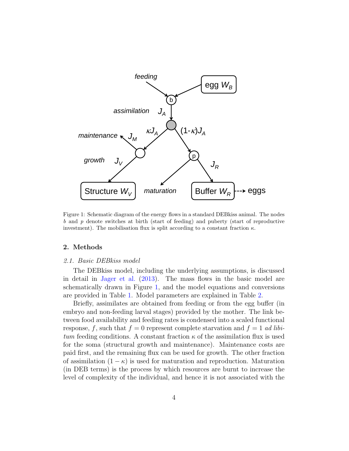

<span id="page-3-0"></span>Figure 1: Schematic diagram of the energy flows in a standard DEBkiss animal. The nodes b and p denote switches at birth (start of feeding) and puberty (start of reproductive investment). The mobilisation flux is split according to a constant fraction  $\kappa$ .

# 2. Methods

#### 2.1. Basic DEBkiss model

The DEBkiss model, including the underlying assumptions, is discussed in detail in [Jager et al.](#page-17-1) [\(2013\)](#page-17-1). The mass flows in the basic model are schematically drawn in Figure [1,](#page-3-0) and the model equations and conversions are provided in Table [1.](#page-4-0) Model parameters are explained in Table [2.](#page-4-1)

Briefly, assimilates are obtained from feeding or from the egg buffer (in embryo and non-feeding larval stages) provided by the mother. The link between food availability and feeding rates is condensed into a scaled functional response, f, such that  $f = 0$  represent complete starvation and  $f = 1$  ad libitum feeding conditions. A constant fraction  $\kappa$  of the assimilation flux is used for the soma (structural growth and maintenance). Maintenance costs are paid first, and the remaining flux can be used for growth. The other fraction of assimilation  $(1 - \kappa)$  is used for maturation and reproduction. Maturation (in DEB terms) is the process by which resources are burnt to increase the level of complexity of the individual, and hence it is not associated with the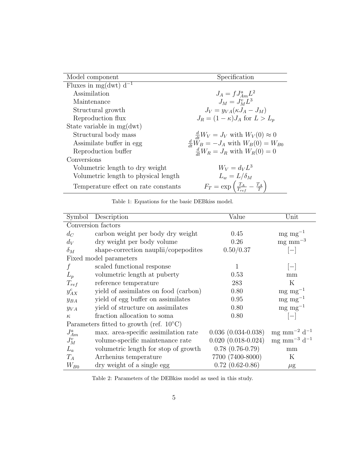| Model component                      | Specification                                                                                      |
|--------------------------------------|----------------------------------------------------------------------------------------------------|
| Fluxes in mg(dwt) $d^{-1}$           |                                                                                                    |
| Assimilation                         | $J_A = f J_{Am}^a L^2$                                                                             |
| Maintenance                          | $J_M = J_M^v L^3$                                                                                  |
| Structural growth                    | $J_V = y_{VA}(\kappa J_A - J_M)$                                                                   |
| Reproduction flux                    | $J_R = (1 - \kappa) J_A$ for $L > L_p$                                                             |
| State variable in mg(dwt)            |                                                                                                    |
| Structural body mass                 |                                                                                                    |
| Assimilate buffer in egg             | $\frac{d}{dt}W_V = J_V$ with $W_V(0) \approx 0$<br>$\frac{d}{dt}W_B = -J_A$ with $W_B(0) = W_{B0}$ |
| Reproduction buffer                  | $\frac{d}{dt}W_R = J_R$ with $W_R(0) = 0$                                                          |
| Conversions                          |                                                                                                    |
| Volumetric length to dry weight      | $W_V = d_V L^3$                                                                                    |
| Volumetric length to physical length | $L_w = L/\delta_M$                                                                                 |
| Temperature effect on rate constants | $F_T = \exp\left(\frac{T_A}{T_{ref}} - \frac{T_A}{T}\right)$                                       |

<span id="page-4-0"></span>

|  | Table 1: Equations for the basic DEB kiss model. |  |  |  |  |  |
|--|--------------------------------------------------|--|--|--|--|--|
|--|--------------------------------------------------|--|--|--|--|--|

| Symbol                                            | Description                           | Value                     | Unit                                  |  |  |  |
|---------------------------------------------------|---------------------------------------|---------------------------|---------------------------------------|--|--|--|
| Conversion factors                                |                                       |                           |                                       |  |  |  |
| $d_C$                                             | carbon weight per body dry weight     | 0.45                      | $mg \, mg^{-1}$                       |  |  |  |
| $d_V$                                             | dry weight per body volume            | 0.26                      | $mg$ mm <sup><math>-3</math></sup>    |  |  |  |
| $\delta_M$                                        | shape-correction nauplii/copepodites  | 0.50/0.37                 | $-\mathbf{I}$                         |  |  |  |
|                                                   | Fixed model parameters                |                           |                                       |  |  |  |
| f                                                 | scaled functional response            | 1                         | $ - $                                 |  |  |  |
| $L_p$                                             | volumetric length at puberty          | 0.53                      | mm                                    |  |  |  |
| $T_{ref}$                                         | reference temperature                 | 283                       | $\rm K$                               |  |  |  |
| $y_{AX}^c$                                        | yield of assimilates on food (carbon) | 0.80                      | $mg$ mg <sup>-1</sup>                 |  |  |  |
| $y_{BA}$                                          | yield of egg buffer on assimilates    | 0.95                      | $mg$ mg <sup>-1</sup>                 |  |  |  |
| $y_{VA}$                                          | yield of structure on assimilates     | 0.80                      | $mg$ mg <sup>-1</sup>                 |  |  |  |
| $\kappa$                                          | fraction allocation to soma           | 0.80                      | $\overline{\phantom{m}}$              |  |  |  |
| Parameters fitted to growth (ref. $10^{\circ}$ C) |                                       |                           |                                       |  |  |  |
| $J_{Am}^a$                                        | max. area-specific assimilation rate  | $0.036$ $(0.034 - 0.038)$ | mg mm <sup>-2</sup> d <sup>-1</sup>   |  |  |  |
| $J_M^v$                                           | volume-specific maintenance rate      | $0.020$ $(0.018 - 0.024)$ | $mg$ mm <sup>-3</sup> d <sup>-1</sup> |  |  |  |
| $L_a$                                             | volumetric length for stop of growth  | $0.78(0.76-0.79)$         | mm                                    |  |  |  |
| $T_A$                                             | Arrhenius temperature                 | 7700 (7400-8000)          | $\rm K$                               |  |  |  |
| $W_{B0}$                                          | dry weight of a single egg            | $0.72$ $(0.62-0.86)$      | $\mu$ g                               |  |  |  |

<span id="page-4-1"></span>Table 2: Parameters of the DEBkiss model as used in this study.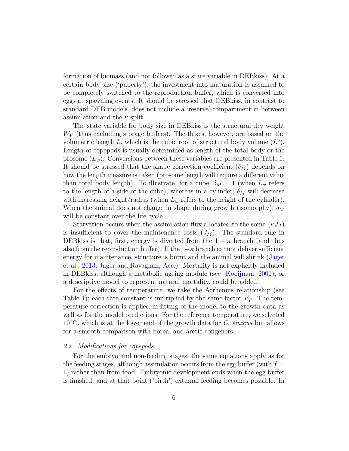formation of biomass (and not followed as a state variable in DEBkiss). At a certain body size ('puberty'), the investment into maturation is assumed to be completely switched to the reproduction buffer, which is converted into eggs at spawning events. It should be stressed that DEBkiss, in contrast to standard DEB models, does not include a 'reserve' compartment in between assimilation and the  $\kappa$  split.

The state variable for body size in DEBkiss is the structural dry weight  $W_V$  (thus excluding storage buffers). The fluxes, however, are based on the volumetric length L, which is the cubic root of structural body volume  $(L^3)$ . Length of copepods is usually determined as length of the total body or the prosome  $(L_w)$ . Conversions between these variables are presented in Table [1.](#page-4-0) It should be stressed that the shape correction coefficient  $(\delta_M)$  depends on how the length measure is taken (prosome length will require a different value than total body length). To illustrate, for a cube,  $\delta_M = 1$  (when  $L_w$  refers to the length of a side of the cube), whereas in a cylinder,  $\delta_M$  will decrease with increasing height/radius (when  $L_w$  refers to the height of the cylinder). When the animal does not change in shape during growth (isomorphy),  $\delta_M$ will be constant over the life cycle.

Starvation occurs when the assimilation flux allocated to the soma  $(\kappa J_A)$ is insufficient to cover the maintenance costs  $(J_M)$ . The standard rule in DEB kiss is that, first, energy is diverted from the  $1 - \kappa$  branch (and thus also from the reproduction buffer). If the  $1-\kappa$  branch cannot deliver sufficient energy for maintenance, structure is burnt and the animal will shrink [\(Jager](#page-17-1) [et al.,](#page-17-1) [2013;](#page-17-1) [Jager and Ravagnan,](#page-18-3) [Acc.\)](#page-18-3). Mortality is not explicitly included in DEBkiss, although a metabolic ageing module (see [Kooijman,](#page-18-0) [2001\)](#page-18-0), or a descriptive model to represent natural mortality, could be added.

For the effects of temperature, we take the Arrhenius relationship (see Table [1\)](#page-4-0); each rate constant is multiplied by the same factor  $F_T$ . The temperature correction is applied in fitting of the model to the growth data as well as for the model predictions. For the reference temperature, we selected  $10^{\circ}$ C, which is at the lower end of the growth data for C. sinicus but allows for a smooth comparison with boreal and arctic congeners.

## 2.2. Modifications for copepods

For the embryo and non-feeding stages, the same equations apply as for the feeding stages, although assimilation occurs from the egg buffer (with  $f =$ 1) rather than from food. Embryonic development ends when the egg buffer is finished, and at that point ('birth') external feeding becomes possible. In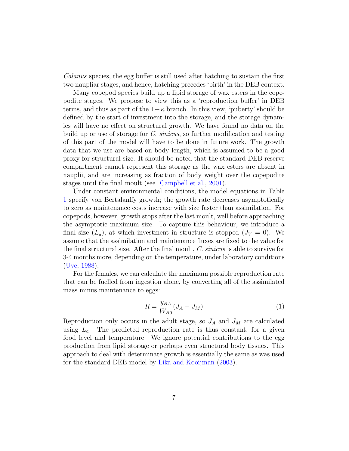Calanus species, the egg buffer is still used after hatching to sustain the first two naupliar stages, and hence, hatching precedes 'birth' in the DEB context.

Many copepod species build up a lipid storage of wax esters in the copepodite stages. We propose to view this as a 'reproduction buffer' in DEB terms, and thus as part of the  $1-\kappa$  branch. In this view, 'puberty' should be defined by the start of investment into the storage, and the storage dynamics will have no effect on structural growth. We have found no data on the build up or use of storage for C. sinicus, so further modification and testing of this part of the model will have to be done in future work. The growth data that we use are based on body length, which is assumed to be a good proxy for structural size. It should be noted that the standard DEB reserve compartment cannot represent this storage as the wax esters are absent in nauplii, and are increasing as fraction of body weight over the copepodite stages until the final moult (see [Campbell et al.,](#page-17-6) [2001\)](#page-17-6).

Under constant environmental conditions, the model equations in Table [1](#page-4-0) specify von Bertalanffy growth; the growth rate decreases asymptotically to zero as maintenance costs increase with size faster than assimilation. For copepods, however, growth stops after the last moult, well before approaching the asymptotic maximum size. To capture this behaviour, we introduce a final size  $(L_a)$ , at which investment in structure is stopped  $(J_V = 0)$ . We assume that the assimilation and maintenance fluxes are fixed to the value for the final structural size. After the final moult, C. sinicus is able to survive for 3-4 months more, depending on the temperature, under laboratory conditions [\(Uye,](#page-19-2) [1988\)](#page-19-2).

For the females, we can calculate the maximum possible reproduction rate that can be fuelled from ingestion alone, by converting all of the assimilated mass minus maintenance to eggs:

<span id="page-6-0"></span>
$$
R = \frac{y_{BA}}{W_{B0}}(J_A - J_M)
$$
 (1)

Reproduction only occurs in the adult stage, so  $J_A$  and  $J_M$  are calculated using  $L_a$ . The predicted reproduction rate is thus constant, for a given food level and temperature. We ignore potential contributions to the egg production from lipid storage or perhaps even structural body tissues. This approach to deal with determinate growth is essentially the same as was used for the standard DEB model by [Lika and Kooijman](#page-19-3) [\(2003\)](#page-19-3).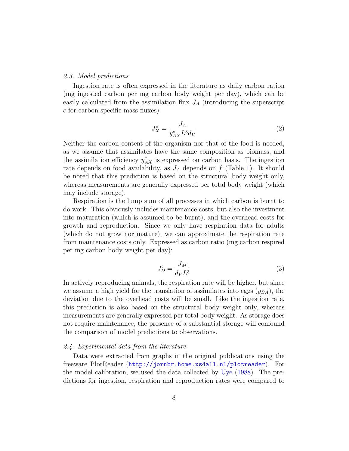#### 2.3. Model predictions

Ingestion rate is often expressed in the literature as daily carbon ration (mg ingested carbon per mg carbon body weight per day), which can be easily calculated from the assimilation flux  $J_A$  (introducing the superscript c for carbon-specific mass fluxes):

<span id="page-7-0"></span>
$$
J_X^c = \frac{J_A}{y_{AX}^c L^3 d_V} \tag{2}
$$

Neither the carbon content of the organism nor that of the food is needed, as we assume that assimilates have the same composition as biomass, and the assimilation efficiency  $y_{AX}^c$  is expressed on carbon basis. The ingestion rate depends on food availability, as  $J_A$  depends on f (Table [1\)](#page-4-0). It should be noted that this prediction is based on the structural body weight only, whereas measurements are generally expressed per total body weight (which may include storage).

Respiration is the lump sum of all processes in which carbon is burnt to do work. This obviously includes maintenance costs, but also the investment into maturation (which is assumed to be burnt), and the overhead costs for growth and reproduction. Since we only have respiration data for adults (which do not grow nor mature), we can approximate the respiration rate from maintenance costs only. Expressed as carbon ratio (mg carbon respired per mg carbon body weight per day):

<span id="page-7-1"></span>
$$
J_D^c = \frac{J_M}{d_V L^3} \tag{3}
$$

In actively reproducing animals, the respiration rate will be higher, but since we assume a high yield for the translation of assimilates into eggs  $(y<sub>BA</sub>)$ , the deviation due to the overhead costs will be small. Like the ingestion rate, this prediction is also based on the structural body weight only, whereas measurements are generally expressed per total body weight. As storage does not require maintenance, the presence of a substantial storage will confound the comparison of model predictions to observations.

#### 2.4. Experimental data from the literature

Data were extracted from graphs in the original publications using the freeware PlotReader (<http://jornbr.home.xs4all.nl/plotreader>). For the model calibration, we used the data collected by [Uye](#page-19-2) [\(1988\)](#page-19-2). The predictions for ingestion, respiration and reproduction rates were compared to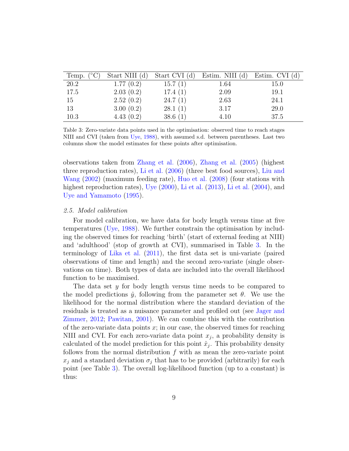| Temp. $(^{\circ}C)$ | Start NIII (d) | Start CVI (d) | Estim. NIII (d) Estim. CVI (d) |      |
|---------------------|----------------|---------------|--------------------------------|------|
| 20.2                | 1.77(0.2)      | 15.7(1)       | 1.64                           | 15.0 |
| 17.5                | 2.03(0.2)      | 17.4(1)       | 2.09                           | 19.1 |
| 15                  | 2.52(0.2)      | 24.7(1)       | 2.63                           | 24.1 |
| 13                  | 3.00(0.2)      | 28.1(1)       | 3.17                           | 29.0 |
| 10.3                | 4.43(0.2)      | 38.6(1)       | 4.10                           | 37.5 |

<span id="page-8-0"></span>Table 3: Zero-variate data points used in the optimisation: observed time to reach stages NIII and CVI (taken from [Uye,](#page-19-2) [1988\)](#page-19-2), with assumed s.d. between parentheses. Last two columns show the model estimates for these points after optimisation.

observations taken from [Zhang et al.](#page-20-0) [\(2006\)](#page-20-0), [Zhang et al.](#page-20-1) [\(2005\)](#page-20-1) (highest three reproduction rates), [Li et al.](#page-18-5) [\(2006\)](#page-18-5) (three best food sources), [Liu and](#page-19-4) [Wang](#page-19-4) [\(2002\)](#page-19-4) (maximum feeding rate), [Huo et al.](#page-17-7) [\(2008\)](#page-17-7) (four stations with highest reproduction rates), [Uye](#page-20-2) [\(2000\)](#page-20-2), [Li et al.](#page-18-7) [\(2013\)](#page-18-6), Li et al. [\(2004\)](#page-18-7), and [Uye and Yamamoto](#page-20-3) [\(1995\)](#page-20-3).

# 2.5. Model calibration

For model calibration, we have data for body length versus time at five temperatures [\(Uye,](#page-19-2) [1988\)](#page-19-2). We further constrain the optimisation by including the observed times for reaching 'birth' (start of external feeding at NIII) and 'adulthood' (stop of growth at CVI), summarised in Table [3.](#page-8-0) In the terminology of [Lika et al.](#page-18-2) [\(2011\)](#page-18-2), the first data set is uni-variate (paired observations of time and length) and the second zero-variate (single observations on time). Both types of data are included into the overall likelihood function to be maximised.

The data set y for body length versus time needs to be compared to the model predictions  $\hat{y}$ , following from the parameter set  $\theta$ . We use the likelihood for the normal distribution where the standard deviation of the residuals is treated as a nuisance parameter and profiled out (see [Jager and](#page-18-8) [Zimmer,](#page-18-8) [2012;](#page-18-8) [Pawitan,](#page-19-5) [2001\)](#page-19-5). We can combine this with the contribution of the zero-variate data points  $x$ ; in our case, the observed times for reaching NIII and CVI. For each zero-variate data point  $x_j$ , a probability density is calculated of the model prediction for this point  $\hat{x}_j$ . This probability density follows from the normal distribution  $f$  with as mean the zero-variate point  $x_j$  and a standard deviation  $\sigma_j$  that has to be provided (arbitrarily) for each point (see Table [3\)](#page-8-0). The overall log-likelihood function (up to a constant) is thus: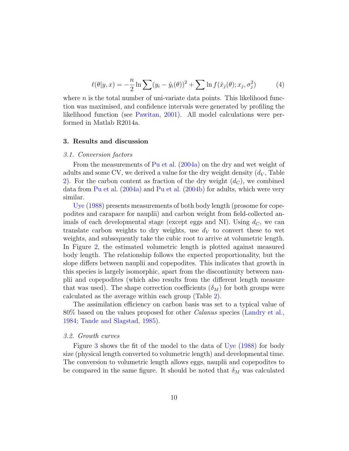$$
\ell(\theta|y,x) = -\frac{n}{2}\ln\sum(y_i - \hat{y}_i(\theta))^2 + \sum\ln f(\hat{x}_j(\theta);x_j,\sigma_j^2)
$$
 (4)

where  $n$  is the total number of uni-variate data points. This likelihood function was maximised, and confidence intervals were generated by profiling the likelihood function (see [Pawitan,](#page-19-5) [2001\)](#page-19-5). All model calculations were performed in Matlab R2014a.

#### 3. Results and discussion

# 3.1. Conversion factors

From the measurements of [Pu et al.](#page-19-6) [\(2004a\)](#page-19-6) on the dry and wet weight of adults and some CV, we derived a value for the dry weight density  $(d_V,$  Table [2\)](#page-4-1). For the carbon content as fraction of the dry weight  $(d_C)$ , we combined data from [Pu et al.](#page-19-6) [\(2004a\)](#page-19-6) and [Pu et al.](#page-19-7) [\(2004b\)](#page-19-7) for adults, which were very similar.

[Uye](#page-19-2) [\(1988\)](#page-19-2) presents measurements of both body length (prosome for copepodites and carapace for nauplii) and carbon weight from field-collected animals of each developmental stage (except eggs and NI). Using  $d_C$ , we can translate carbon weights to dry weights, use  $d_V$  to convert these to wet weights, and subsequently take the cubic root to arrive at volumetric length. In Figure [2,](#page-10-0) the estimated volumetric length is plotted against measured body length. The relationship follows the expected proportionality, but the slope differs between nauplii and copepodites. This indicates that growth in this species is largely isomorphic, apart from the discontinuity between nauplii and copepodites (which also results from the different length measure that was used). The shape correction coefficients  $(\delta_M)$  for both groups were calculated as the average within each group (Table [2\)](#page-4-1).

The assimilation efficiency on carbon basis was set to a typical value of 80% based on the values proposed for other Calanus species [\(Landry et al.,](#page-18-9) [1984;](#page-18-9) [Tande and Slagstad,](#page-19-8) [1985\)](#page-19-8).

#### 3.2. Growth curves

Figure [3](#page-11-0) shows the fit of the model to the data of [Uye](#page-19-2) [\(1988\)](#page-19-2) for body size (physical length converted to volumetric length) and developmental time. The conversion to volumetric length allows eggs, nauplii and copepodites to be compared in the same figure. It should be noted that  $\delta_M$  was calculated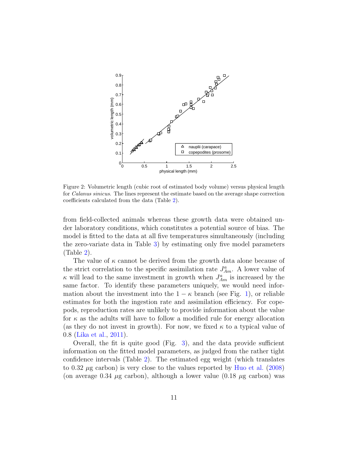

<span id="page-10-0"></span>Figure 2: Volumetric length (cubic root of estimated body volume) versus physical length for Calanus sinicus. The lines represent the estimate based on the average shape correction coefficients calculated from the data (Table [2\)](#page-4-1).

from field-collected animals whereas these growth data were obtained under laboratory conditions, which constitutes a potential source of bias. The model is fitted to the data at all five temperatures simultaneously (including the zero-variate data in Table [3\)](#page-8-0) by estimating only five model parameters (Table [2\)](#page-4-1).

The value of  $\kappa$  cannot be derived from the growth data alone because of the strict correlation to the specific assimilation rate  $J_{Am}^a$ . A lower value of  $\kappa$  will lead to the same investment in growth when  $J_{Am}^a$  is increased by the same factor. To identify these parameters uniquely, we would need information about the investment into the  $1 - \kappa$  branch (see Fig. [1\)](#page-3-0), or reliable estimates for both the ingestion rate and assimilation efficiency. For copepods, reproduction rates are unlikely to provide information about the value for  $\kappa$  as the adults will have to follow a modified rule for energy allocation (as they do not invest in growth). For now, we fixed  $\kappa$  to a typical value of 0.8 [\(Lika et al.,](#page-18-2) [2011\)](#page-18-2).

Overall, the fit is quite good (Fig. [3\)](#page-11-0), and the data provide sufficient information on the fitted model parameters, as judged from the rather tight confidence intervals (Table [2\)](#page-4-1). The estimated egg weight (which translates to 0.32  $\mu$ g carbon) is very close to the values reported by [Huo et al.](#page-17-7) [\(2008\)](#page-17-7) (on average 0.34  $\mu$ g carbon), although a lower value (0.18  $\mu$ g carbon) was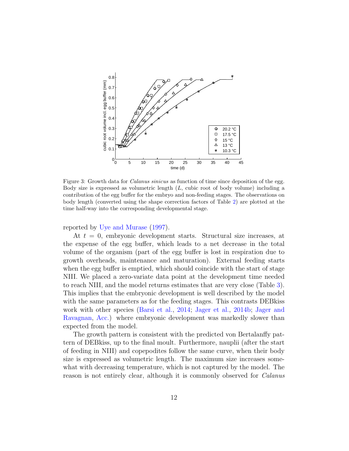

<span id="page-11-0"></span>Figure 3: Growth data for *Calanus sinicus* as function of time since deposition of the egg. Body size is expressed as volumetric length (L, cubic root of body volume) including a contribution of the egg buffer for the embryo and non-feeding stages. The observations on body length (converted using the shape correction factors of Table [2\)](#page-4-1) are plotted at the time half-way into the corresponding developmental stage.

reported by [Uye and Murase](#page-20-4) [\(1997\)](#page-20-4).

At  $t = 0$ , embryonic development starts. Structural size increases, at the expense of the egg buffer, which leads to a net decrease in the total volume of the organism (part of the egg buffer is lost in respiration due to growth overheads, maintenance and maturation). External feeding starts when the egg buffer is emptied, which should coincide with the start of stage NIII. We placed a zero-variate data point at the development time needed to reach NIII, and the model returns estimates that are very close (Table [3\)](#page-8-0). This implies that the embryonic development is well described by the model with the same parameters as for the feeding stages. This contrasts DEBkiss work with other species [\(Barsi et al.,](#page-17-2) [2014;](#page-17-2) [Jager et al.,](#page-17-3) [2014b;](#page-17-3) [Jager and](#page-18-3) [Ravagnan,](#page-18-3) [Acc.\)](#page-18-3) where embryonic development was markedly slower than expected from the model.

The growth pattern is consistent with the predicted von Bertalanffy pattern of DEBkiss, up to the final moult. Furthermore, nauplii (after the start of feeding in NIII) and copepodites follow the same curve, when their body size is expressed as volumetric length. The maximum size increases somewhat with decreasing temperature, which is not captured by the model. The reason is not entirely clear, although it is commonly observed for *Calanus*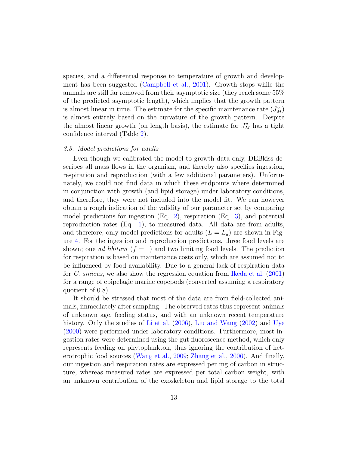species, and a differential response to temperature of growth and development has been suggested [\(Campbell et al.,](#page-17-6) [2001\)](#page-17-6). Growth stops while the animals are still far removed from their asymptotic size (they reach some 55% of the predicted asymptotic length), which implies that the growth pattern is almost linear in time. The estimate for the specific maintenance rate  $(J_M^v)$ is almost entirely based on the curvature of the growth pattern. Despite the almost linear growth (on length basis), the estimate for  $J_M^v$  has a tight confidence interval (Table [2\)](#page-4-1).

# 3.3. Model predictions for adults

Even though we calibrated the model to growth data only, DEBkiss describes all mass flows in the organism, and thereby also specifies ingestion, respiration and reproduction (with a few additional parameters). Unfortunately, we could not find data in which these endpoints where determined in conjunction with growth (and lipid storage) under laboratory conditions, and therefore, they were not included into the model fit. We can however obtain a rough indication of the validity of our parameter set by comparing model predictions for ingestion  $(Eq. 2)$  $(Eq. 2)$ , respiration  $(Eq. 3)$  $(Eq. 3)$ , and potential reproduction rates (Eq. [1\)](#page-6-0), to measured data. All data are from adults, and therefore, only model predictions for adults  $(L = L_a)$  are shown in Figure [4.](#page-13-0) For the ingestion and reproduction predictions, three food levels are shown; one *ad libitum*  $(f = 1)$  and two limiting food levels. The prediction for respiration is based on maintenance costs only, which are assumed not to be influenced by food availability. Due to a general lack of respiration data for C. sinicus, we also show the regression equation from [Ikeda et al.](#page-17-8) [\(2001\)](#page-17-8) for a range of epipelagic marine copepods (converted assuming a respiratory quotient of 0.8).

It should be stressed that most of the data are from field-collected animals, immediately after sampling. The observed rates thus represent animals of unknown age, feeding status, and with an unknown recent temperature history. Only the studies of [Li et al.](#page-18-5) [\(2006\)](#page-18-5), [Liu and Wang](#page-19-4) [\(2002\)](#page-19-4) and [Uye](#page-20-2) [\(2000\)](#page-20-2) were performed under laboratory conditions. Furthermore, most ingestion rates were determined using the gut fluorescence method, which only represents feeding on phytoplankton, thus ignoring the contribution of heterotrophic food sources [\(Wang et al.,](#page-20-5) [2009;](#page-20-5) [Zhang et al.,](#page-20-0) [2006\)](#page-20-0). And finally, our ingestion and respiration rates are expressed per mg of carbon in structure, whereas measured rates are expressed per total carbon weight, with an unknown contribution of the exoskeleton and lipid storage to the total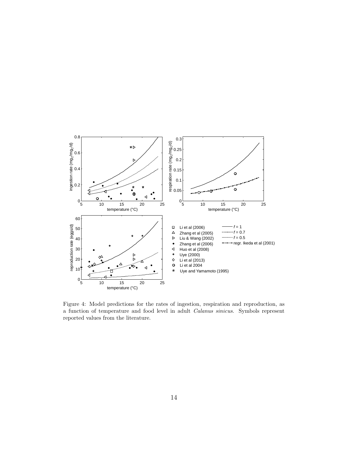

<span id="page-13-0"></span>Figure 4: Model predictions for the rates of ingestion, respiration and reproduction, as a function of temperature and food level in adult Calanus sinicus. Symbols represent reported values from the literature.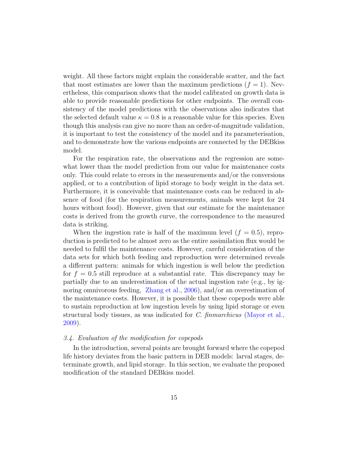weight. All these factors might explain the considerable scatter, and the fact that most estimates are lower than the maximum predictions  $(f = 1)$ . Nevertheless, this comparison shows that the model calibrated on growth data is able to provide reasonable predictions for other endpoints. The overall consistency of the model predictions with the observations also indicates that the selected default value  $\kappa = 0.8$  is a reasonable value for this species. Even though this analysis can give no more than an order-of-magnitude validation, it is important to test the consistency of the model and its parameterisation, and to demonstrate how the various endpoints are connected by the DEBkiss model.

For the respiration rate, the observations and the regression are somewhat lower than the model prediction from our value for maintenance costs only. This could relate to errors in the measurements and/or the conversions applied, or to a contribution of lipid storage to body weight in the data set. Furthermore, it is conceivable that maintenance costs can be reduced in absence of food (for the respiration measurements, animals were kept for 24 hours without food). However, given that our estimate for the maintenance costs is derived from the growth curve, the correspondence to the measured data is striking.

When the ingestion rate is half of the maximum level  $(f = 0.5)$ , reproduction is predicted to be almost zero as the entire assimilation flux would be needed to fulfil the maintenance costs. However, careful consideration of the data sets for which both feeding and reproduction were determined reveals a different pattern: animals for which ingestion is well below the prediction for  $f = 0.5$  still reproduce at a substantial rate. This discrepancy may be partially due to an underestimation of the actual ingestion rate (e.g., by ignoring omnivorous feeding, [Zhang et al.,](#page-20-0) [2006\)](#page-20-0), and/or an overestimation of the maintenance costs. However, it is possible that these copepods were able to sustain reproduction at low ingestion levels by using lipid storage or even structural body tissues, as was indicated for C. finmarchicus [\(Mayor et al.,](#page-19-9) [2009\)](#page-19-9).

# 3.4. Evaluation of the modification for copepods

In the introduction, several points are brought forward where the copepod life history deviates from the basic pattern in DEB models: larval stages, determinate growth, and lipid storage. In this section, we evaluate the proposed modification of the standard DEBkiss model.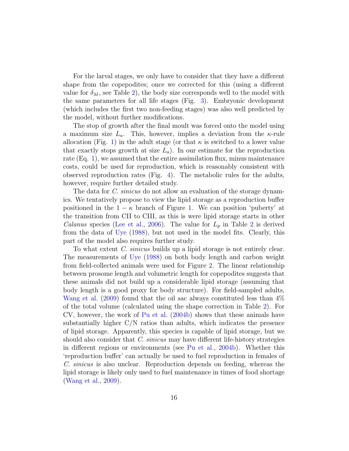For the larval stages, we only have to consider that they have a different shape from the copepodites; once we corrected for this (using a different value for  $\delta_M$ , see Table [2\)](#page-4-1), the body size corresponds well to the model with the same parameters for all life stages (Fig. [3\)](#page-11-0). Embryonic development (which includes the first two non-feeding stages) was also well predicted by the model, without further modifications.

The stop of growth after the final moult was forced onto the model using a maximum size  $L_a$ . This, however, implies a deviation from the  $\kappa$ -rule allocation (Fig. [1\)](#page-3-0) in the adult stage (or that  $\kappa$  is switched to a lower value that exactly stops growth at size  $L_a$ ). In our estimate for the reproduction rate (Eq. [1\)](#page-6-0), we assumed that the entire assimilation flux, minus maintenance costs, could be used for reproduction, which is reasonably consistent with observed reproduction rates (Fig. [4\)](#page-13-0). The metabolic rules for the adults, however, require further detailed study.

The data for *C. sinicus* do not allow an evaluation of the storage dynamics. We tentatively propose to view the lipid storage as a reproduction buffer positioned in the  $1 - \kappa$  branch of Figure [1.](#page-3-0) We can position 'puberty' at the transition from CII to CIII, as this is were lipid storage starts in other *Calanus* species [\(Lee et al.,](#page-18-4) [2006\)](#page-18-4). The value for  $L_p$  in Table [2](#page-4-1) is derived from the data of [Uye](#page-19-2) [\(1988\)](#page-19-2), but not used in the model fits. Clearly, this part of the model also requires further study.

To what extent *C. sinicus* builds up a lipid storage is not entirely clear. The measurements of [Uye](#page-19-2) [\(1988\)](#page-19-2) on both body length and carbon weight from field-collected animals were used for Figure [2.](#page-10-0) The linear relationship between prosome length and volumetric length for copepodites suggests that these animals did not build up a considerable lipid storage (assuming that body length is a good proxy for body structure). For field-sampled adults, [Wang et al.](#page-20-5) [\(2009\)](#page-20-5) found that the oil sac always constituted less than 4% of the total volume (calculated using the shape correction in Table [2\)](#page-4-1). For CV, however, the work of [Pu et al.](#page-19-7) [\(2004b\)](#page-19-7) shows that these animals have substantially higher  $C/N$  ratios than adults, which indicates the presence of lipid storage. Apparently, this species is capable of lipid storage, but we should also consider that C. sinicus may have different life-history strategies in different regions or environments (see [Pu et al.,](#page-19-7) [2004b\)](#page-19-7). Whether this 'reproduction buffer' can actually be used to fuel reproduction in females of C. sinicus is also unclear. Reproduction depends on feeding, whereas the lipid storage is likely only used to fuel maintenance in times of food shortage [\(Wang et al.,](#page-20-5) [2009\)](#page-20-5).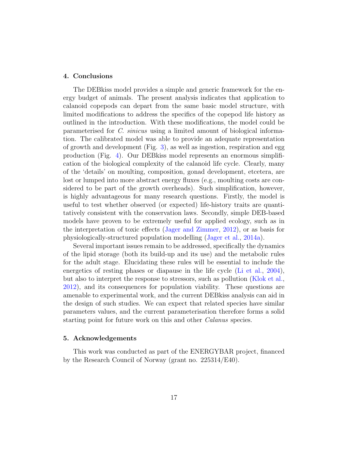# 4. Conclusions

The DEBkiss model provides a simple and generic framework for the energy budget of animals. The present analysis indicates that application to calanoid copepods can depart from the same basic model structure, with limited modifications to address the specifics of the copepod life history as outlined in the introduction. With these modifications, the model could be parameterised for C. sinicus using a limited amount of biological information. The calibrated model was able to provide an adequate representation of growth and development (Fig. [3\)](#page-11-0), as well as ingestion, respiration and egg production (Fig. [4\)](#page-13-0). Our DEBkiss model represents an enormous simplification of the biological complexity of the calanoid life cycle. Clearly, many of the 'details' on moulting, composition, gonad development, etcetera, are lost or lumped into more abstract energy fluxes (e.g., moulting costs are considered to be part of the growth overheads). Such simplification, however, is highly advantageous for many research questions. Firstly, the model is useful to test whether observed (or expected) life-history traits are quantitatively consistent with the conservation laws. Secondly, simple DEB-based models have proven to be extremely useful for applied ecology, such as in the interpretation of toxic effects [\(Jager and Zimmer,](#page-18-8) [2012\)](#page-18-8), or as basis for physiologically-structured population modelling [\(Jager et al.,](#page-17-0) [2014a\)](#page-17-0).

Several important issues remain to be addressed, specifically the dynamics of the lipid storage (both its build-up and its use) and the metabolic rules for the adult stage. Elucidating these rules will be essential to include the energetics of resting phases or diapause in the life cycle [\(Li et al.,](#page-18-7) [2004\)](#page-18-7), but also to interpret the response to stressors, such as pollution [\(Klok et al.,](#page-18-1) [2012\)](#page-18-1), and its consequences for population viability. These questions are amenable to experimental work, and the current DEBkiss analysis can aid in the design of such studies. We can expect that related species have similar parameters values, and the current parameterisation therefore forms a solid starting point for future work on this and other *Calanus* species.

# 5. Acknowledgements

This work was conducted as part of the ENERGYBAR project, financed by the Research Council of Norway (grant no. 225314/E40).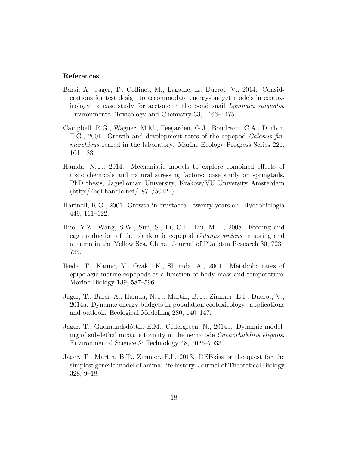# References

- <span id="page-17-2"></span>Barsi, A., Jager, T., Collinet, M., Lagadic, L., Ducrot, V., 2014. Considerations for test design to accommodate energy-budget models in ecotoxicology: a case study for acetone in the pond snail Lymnaea stagnalis. Environmental Toxicology and Chemistry 33, 1466–1475.
- <span id="page-17-6"></span>Campbell, R.G., Wagner, M.M., Teegarden, G.J., Boudreau, C.A., Durbin, E.G., 2001. Growth and development rates of the copepod Calanus finmarchicus reared in the laboratory. Marine Ecology Progress Series 221, 161–183.
- <span id="page-17-4"></span>Hamda, N.T., 2014. Mechanistic models to explore combined effects of toxic chemicals and natural stressing factors: case study on springtails. PhD thesis, Jagiellonian University, Krakow/VU University Amsterdam (http://hdl.handle.net/1871/50121).
- <span id="page-17-5"></span>Hartnoll, R.G., 2001. Growth in crustacea - twenty years on. Hydrobiologia 449, 111–122.
- <span id="page-17-7"></span>Huo, Y.Z., Wang, S.W., Sun, S., Li, C.L., Liu, M.T., 2008. Feeding and egg production of the planktonic copepod Calanus sinicus in spring and autumn in the Yellow Sea, China. Journal of Plankton Research 30, 723– 734.
- <span id="page-17-8"></span>Ikeda, T., Kanno, Y., Ozaki, K., Shinada, A., 2001. Metabolic rates of epipelagic marine copepods as a function of body mass and temperature. Marine Biology 139, 587–596.
- <span id="page-17-0"></span>Jager, T., Barsi, A., Hamda, N.T., Martin, B.T., Zimmer, E.I., Ducrot, V., 2014a. Dynamic energy budgets in population ecotoxicology: applications and outlook. Ecological Modelling 280, 140–147.
- <span id="page-17-3"></span>Jager, T., Gudmundsdóttir, E.M., Cedergreen, N., 2014b. Dynamic modeling of sub-lethal mixture toxicity in the nematode Caenorhabditis elegans. Environmental Science & Technology 48, 7026–7033.
- <span id="page-17-1"></span>Jager, T., Martin, B.T., Zimmer, E.I., 2013. DEBkiss or the quest for the simplest generic model of animal life history. Journal of Theoretical Biology 328, 9–18.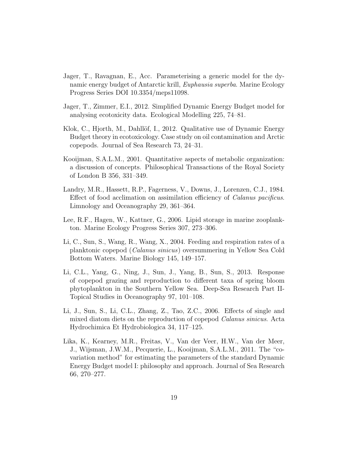- <span id="page-18-3"></span>Jager, T., Ravagnan, E., Acc. Parameterising a generic model for the dynamic energy budget of Antarctic krill, *Euphausia superba*. Marine Ecology Progress Series DOI 10.3354/meps11098.
- <span id="page-18-8"></span>Jager, T., Zimmer, E.I., 2012. Simplified Dynamic Energy Budget model for analysing ecotoxicity data. Ecological Modelling 225, 74–81.
- <span id="page-18-1"></span>Klok, C., Hjorth, M., Dahllöf, I., 2012. Qualitative use of Dynamic Energy Budget theory in ecotoxicology. Case study on oil contamination and Arctic copepods. Journal of Sea Research 73, 24–31.
- <span id="page-18-0"></span>Kooijman, S.A.L.M., 2001. Quantitative aspects of metabolic organization: a discussion of concepts. Philosophical Transactions of the Royal Society of London B 356, 331–349.
- <span id="page-18-9"></span>Landry, M.R., Hassett, R.P., Fagerness, V., Downs, J., Lorenzen, C.J., 1984. Effect of food acclimation on assimilation efficiency of Calanus pacificus. Limnology and Oceanography 29, 361–364.
- <span id="page-18-4"></span>Lee, R.F., Hagen, W., Kattner, G., 2006. Lipid storage in marine zooplankton. Marine Ecology Progress Series 307, 273–306.
- <span id="page-18-7"></span>Li, C., Sun, S., Wang, R., Wang, X., 2004. Feeding and respiration rates of a planktonic copepod (Calanus sinicus) oversummering in Yellow Sea Cold Bottom Waters. Marine Biology 145, 149–157.
- <span id="page-18-6"></span>Li, C.L., Yang, G., Ning, J., Sun, J., Yang, B., Sun, S., 2013. Response of copepod grazing and reproduction to different taxa of spring bloom phytoplankton in the Southern Yellow Sea. Deep-Sea Research Part II-Topical Studies in Oceanography 97, 101–108.
- <span id="page-18-5"></span>Li, J., Sun, S., Li, C.L., Zhang, Z., Tao, Z.C., 2006. Effects of single and mixed diatom diets on the reproduction of copepod Calanus sinicus. Acta Hydrochimica Et Hydrobiologica 34, 117–125.
- <span id="page-18-2"></span>Lika, K., Kearney, M.R., Freitas, V., Van der Veer, H.W., Van der Meer, J., Wijsman, J.W.M., Pecquerie, L., Kooijman, S.A.L.M., 2011. The "covariation method" for estimating the parameters of the standard Dynamic Energy Budget model I: philosophy and approach. Journal of Sea Research 66, 270–277.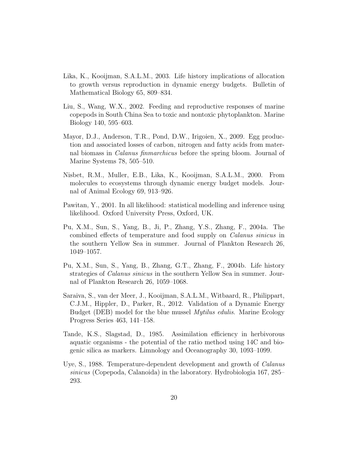- <span id="page-19-3"></span>Lika, K., Kooijman, S.A.L.M., 2003. Life history implications of allocation to growth versus reproduction in dynamic energy budgets. Bulletin of Mathematical Biology 65, 809–834.
- <span id="page-19-4"></span>Liu, S., Wang, W.X., 2002. Feeding and reproductive responses of marine copepods in South China Sea to toxic and nontoxic phytoplankton. Marine Biology 140, 595–603.
- <span id="page-19-9"></span>Mayor, D.J., Anderson, T.R., Pond, D.W., Irigoien, X., 2009. Egg production and associated losses of carbon, nitrogen and fatty acids from maternal biomass in Calanus finmarchicus before the spring bloom. Journal of Marine Systems 78, 505–510.
- <span id="page-19-0"></span>Nisbet, R.M., Muller, E.B., Lika, K., Kooijman, S.A.L.M., 2000. From molecules to ecosystems through dynamic energy budget models. Journal of Animal Ecology 69, 913–926.
- <span id="page-19-5"></span>Pawitan, Y., 2001. In all likelihood: statistical modelling and inference using likelihood. Oxford University Press, Oxford, UK.
- <span id="page-19-6"></span>Pu, X.M., Sun, S., Yang, B., Ji, P., Zhang, Y.S., Zhang, F., 2004a. The combined effects of temperature and food supply on Calanus sinicus in the southern Yellow Sea in summer. Journal of Plankton Research 26, 1049–1057.
- <span id="page-19-7"></span>Pu, X.M., Sun, S., Yang, B., Zhang, G.T., Zhang, F., 2004b. Life history strategies of *Calanus sinicus* in the southern Yellow Sea in summer. Journal of Plankton Research 26, 1059–1068.
- <span id="page-19-1"></span>Saraiva, S., van der Meer, J., Kooijman, S.A.L.M., Witbaard, R., Philippart, C.J.M., Hippler, D., Parker, R., 2012. Validation of a Dynamic Energy Budget (DEB) model for the blue mussel Mytilus edulis. Marine Ecology Progress Series 463, 141–158.
- <span id="page-19-8"></span>Tande, K.S., Slagstad, D., 1985. Assimilation efficiency in herbivorous aquatic organisms - the potential of the ratio method using 14C and biogenic silica as markers. Limnology and Oceanography 30, 1093–1099.
- <span id="page-19-2"></span>Uye, S., 1988. Temperature-dependent development and growth of Calanus sinicus (Copepoda, Calanoida) in the laboratory. Hydrobiologia 167, 285– 293.